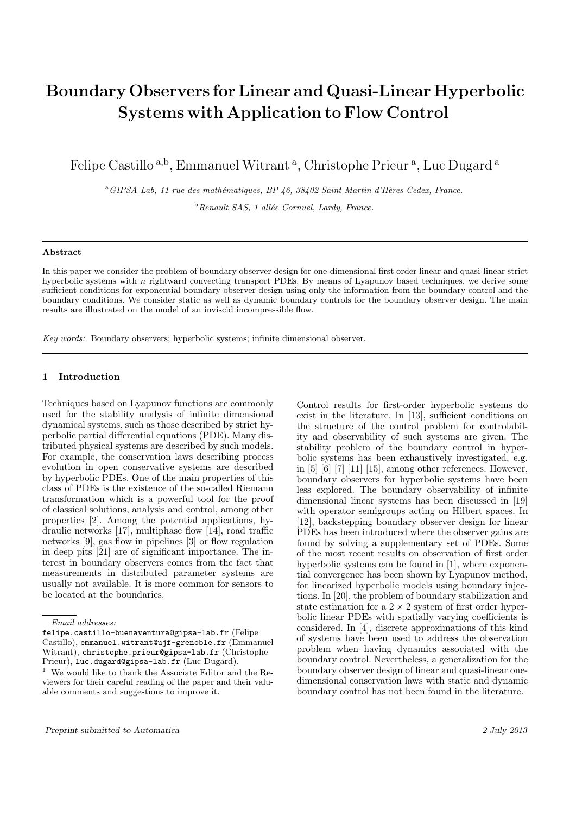# Boundary Observers for Linear and Quasi-Linear Hyperbolic Systems with Application to Flow Control

Felipe Castillo<sup>a,b</sup>, Emmanuel Witrant<sup>a</sup>, Christophe Prieur<sup>a</sup>, Luc Dugard<sup>a</sup>

<sup>a</sup>GIPSA-Lab, 11 rue des mathématiques, BP 46, 38402 Saint Martin d'Hères Cedex, France.  $b$ Renault SAS, 1 allée Cornuel, Lardy, France.

#### Abstract

In this paper we consider the problem of boundary observer design for one-dimensional first order linear and quasi-linear strict hyperbolic systems with n rightward convecting transport PDEs. By means of Lyapunov based techniques, we derive some sufficient conditions for exponential boundary observer design using only the information from the boundary control and the boundary conditions. We consider static as well as dynamic boundary controls for the boundary observer design. The main results are illustrated on the model of an inviscid incompressible flow.

Key words: Boundary observers; hyperbolic systems; infinite dimensional observer.

## 1 Introduction

Techniques based on Lyapunov functions are commonly used for the stability analysis of infinite dimensional dynamical systems, such as those described by strict hyperbolic partial differential equations (PDE). Many distributed physical systems are described by such models. For example, the conservation laws describing process evolution in open conservative systems are described by hyperbolic PDEs. One of the main properties of this class of PDEs is the existence of the so-called Riemann transformation which is a powerful tool for the proof of classical solutions, analysis and control, among other properties [2]. Among the potential applications, hydraulic networks [17], multiphase flow [14], road traffic networks [9], gas flow in pipelines [3] or flow regulation in deep pits [21] are of significant importance. The interest in boundary observers comes from the fact that measurements in distributed parameter systems are usually not available. It is more common for sensors to be located at the boundaries.

Control results for first-order hyperbolic systems do exist in the literature. In [13], sufficient conditions on the structure of the control problem for controlability and observability of such systems are given. The stability problem of the boundary control in hyperbolic systems has been exhaustively investigated, e.g. in [5] [6] [7] [11] [15], among other references. However, boundary observers for hyperbolic systems have been less explored. The boundary observability of infinite dimensional linear systems has been discussed in [19] with operator semigroups acting on Hilbert spaces. In [12], backstepping boundary observer design for linear PDEs has been introduced where the observer gains are found by solving a supplementary set of PDEs. Some of the most recent results on observation of first order hyperbolic systems can be found in [1], where exponential convergence has been shown by Lyapunov method, for linearized hyperbolic models using boundary injections. In [20], the problem of boundary stabilization and state estimation for a  $2 \times 2$  system of first order hyperbolic linear PDEs with spatially varying coefficients is considered. In [4], discrete approximations of this kind of systems have been used to address the observation problem when having dynamics associated with the boundary control. Nevertheless, a generalization for the boundary observer design of linear and quasi-linear onedimensional conservation laws with static and dynamic boundary control has not been found in the literature.

Email addresses:

felipe.castillo-buenaventura@gipsa-lab.fr (Felipe Castillo), emmanuel.witrant@ujf-grenoble.fr (Emmanuel Witrant), christophe.prieur@gipsa-lab.fr (Christophe Prieur), luc.dugard@gipsa-lab.fr (Luc Dugard).

 $^{\rm 1}\,$  We would like to thank the Associate Editor and the Reviewers for their careful reading of the paper and their valuable comments and suggestions to improve it.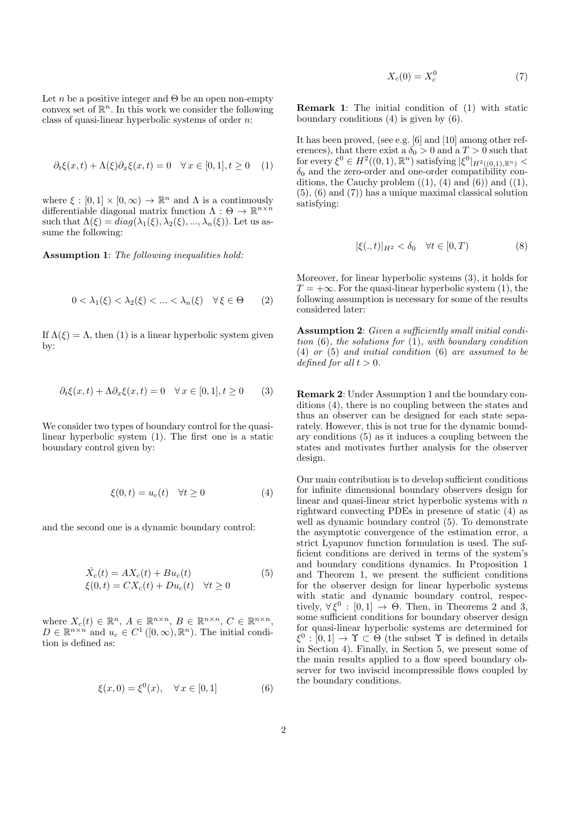Let n be a positive integer and  $\Theta$  be an open non-empty convex set of  $\mathbb{R}^n$ . In this work we consider the following class of quasi-linear hyperbolic systems of order  $n$ :

$$
\partial_t \xi(x, t) + \Lambda(\xi) \partial_x \xi(x, t) = 0 \quad \forall x \in [0, 1], t \ge 0 \quad (1)
$$

where  $\xi : [0,1] \times [0,\infty) \to \mathbb{R}^n$  and  $\Lambda$  is a continuously differentiable diagonal matrix function  $\Lambda: \Theta \to \mathbb{R}^{n \times n}$ such that  $\Lambda(\xi) = diag(\lambda_1(\xi), \lambda_2(\xi), ..., \lambda_n(\xi))$ . Let us assume the following:

Assumption 1: The following inequalities hold:

$$
0 < \lambda_1(\xi) < \lambda_2(\xi) < \ldots < \lambda_n(\xi) \quad \forall \xi \in \Theta \qquad (2)
$$

If  $\Lambda(\xi) = \Lambda$ , then (1) is a linear hyperbolic system given by:

$$
\partial_t \xi(x, t) + \Lambda \partial_x \xi(x, t) = 0 \quad \forall x \in [0, 1], t \ge 0 \tag{3}
$$

We consider two types of boundary control for the quasilinear hyperbolic system (1). The first one is a static boundary control given by:

$$
\xi(0,t) = u_c(t) \quad \forall t \ge 0 \tag{4}
$$

and the second one is a dynamic boundary control:

$$
\dot{X}_c(t) = AX_c(t) + Bu_c(t)
$$
\n
$$
\xi(0, t) = CX_c(t) + Du_c(t) \quad \forall t \ge 0
$$
\n(5)

where  $X_c(t) \in \mathbb{R}^n$ ,  $A \in \mathbb{R}^{n \times n}$ ,  $B \in \mathbb{R}^{n \times n}$ ,  $C \in \mathbb{R}^{n \times n}$ ,  $D \in \mathbb{R}^{n \times n}$  and  $u_c \in C^1([0,\infty), \mathbb{R}^n)$ . The initial condition is defined as:

$$
\xi(x,0) = \xi^{0}(x), \quad \forall \, x \in [0,1] \tag{6}
$$

 $X_c(0) = X_c^0$ (7)

Remark 1: The initial condition of (1) with static boundary conditions (4) is given by (6).

It has been proved, (see e.g. [6] and [10] among other references), that there exist a  $\delta_0 > 0$  and a  $T > 0$  such that for every  $\xi^0 \in H^2((0,1),\mathbb{R}^n)$  satisfying  $|\xi^0|_{H^2((0,1),\mathbb{R}^n)}$  $\delta_0$  and the zero-order and one-order compatibility conditions, the Cauchy problem  $((1), (4)$  and  $(6))$  and  $((1),$ (5), (6) and (7)) has a unique maximal classical solution satisfying:

$$
|\xi(.,t)|_{H^2} < \delta_0 \quad \forall t \in [0,T)
$$
\n
$$
(8)
$$

Moreover, for linear hyperbolic systems (3), it holds for  $T = +\infty$ . For the quasi-linear hyperbolic system (1), the following assumption is necessary for some of the results considered later:

Assumption 2: Given a sufficiently small initial condition  $(6)$ , the solutions for  $(1)$ , with boundary condition (4) or (5) and initial condition (6) are assumed to be defined for all  $t > 0$ .

Remark 2: Under Assumption 1 and the boundary conditions (4), there is no coupling between the states and thus an observer can be designed for each state separately. However, this is not true for the dynamic boundary conditions (5) as it induces a coupling between the states and motivates further analysis for the observer design.

Our main contribution is to develop sufficient conditions for infinite dimensional boundary observers design for linear and quasi-linear strict hyperbolic systems with  $n$ rightward convecting PDEs in presence of static (4) as well as dynamic boundary control (5). To demonstrate the asymptotic convergence of the estimation error, a strict Lyapunov function formulation is used. The sufficient conditions are derived in terms of the system's and boundary conditions dynamics. In Proposition 1 and Theorem 1, we present the sufficient conditions for the observer design for linear hyperbolic systems with static and dynamic boundary control, respectively,  $\forall \xi^0 : [0,1] \rightarrow \Theta$ . Then, in Theorems 2 and 3, some sufficient conditions for boundary observer design for quasi-linear hyperbolic systems are determined for  $\xi^0 : [0,1] \to \Upsilon \subset \Theta$  (the subset  $\Upsilon$  is defined in details in Section 4). Finally, in Section 5, we present some of the main results applied to a flow speed boundary observer for two inviscid incompressible flows coupled by the boundary conditions.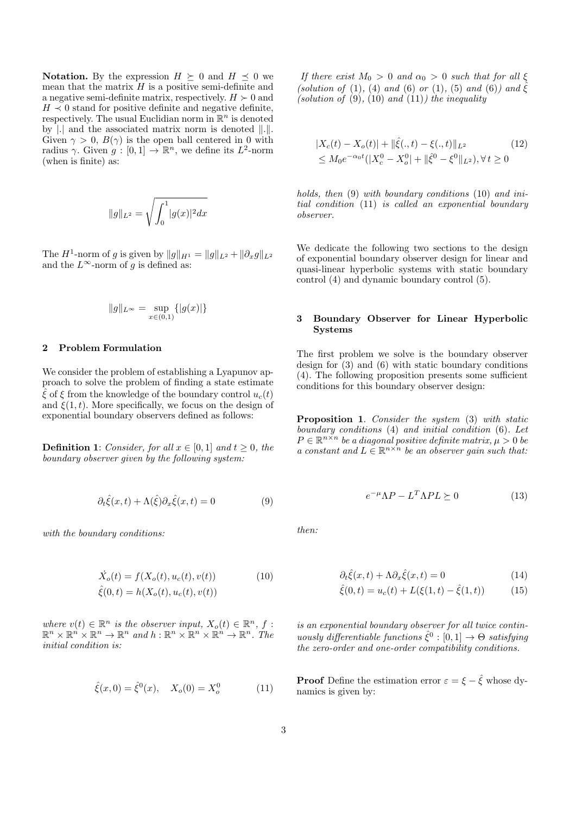**Notation.** By the expression  $H \succeq 0$  and  $H \preceq 0$  we mean that the matrix  $H$  is a positive semi-definite and a negative semi-definite matrix, respectively.  $H \succ 0$  and  $H \prec 0$  stand for positive definite and negative definite, respectively. The usual Euclidian norm in  $\mathbb{R}^n$  is denoted by  $\vert \cdot \vert$  and the associated matrix norm is denoted  $\vert \vert \cdot \vert \vert$ . Given  $\gamma > 0$ ,  $B(\gamma)$  is the open ball centered in 0 with radius  $\gamma$ . Given  $g: [0,1] \to \mathbb{R}^n$ , we define its  $L^2$ -norm (when is finite) as:

$$
||g||_{L^2} = \sqrt{\int_0^1 |g(x)|^2 dx}
$$

The  $H^1$ -norm of g is given by  $||g||_{H^1} = ||g||_{L^2} + ||\partial_x g||_{L^2}$ and the  $L^{\infty}$ -norm of g is defined as:

$$
||g||_{L^{\infty}} = \sup_{x \in (0,1)} \{ |g(x)| \}
$$

## 2 Problem Formulation

We consider the problem of establishing a Lyapunov approach to solve the problem of finding a state estimate  $\hat{\xi}$  of  $\xi$  from the knowledge of the boundary control  $u_c(t)$ and  $\xi(1, t)$ . More specifically, we focus on the design of exponential boundary observers defined as follows:

**Definition 1:** Consider, for all  $x \in [0, 1]$  and  $t \geq 0$ , the boundary observer given by the following system:

$$
\partial_t \hat{\xi}(x,t) + \Lambda(\hat{\xi}) \partial_x \hat{\xi}(x,t) = 0 \tag{9}
$$

with the boundary conditions:

$$
\dot{X}_o(t) = f(X_o(t), u_c(t), v(t))
$$
\n
$$
\hat{\xi}(0, t) = h(X_o(t), u_c(t), v(t))
$$
\n(10)

where  $v(t) \in \mathbb{R}^n$  is the observer input,  $X_o(t) \in \mathbb{R}^n$ , f:  $\mathbb{R}^n \times \mathbb{R}^n \times \mathbb{R}^n \to \mathbb{R}^n$  and  $h: \mathbb{R}^n \times \mathbb{R}^n \times \mathbb{R}^n \to \mathbb{R}^n$ . The initial condition is:

$$
\hat{\xi}(x,0) = \hat{\xi}^{0}(x), \quad X_o(0) = X_o^0 \tag{11}
$$

If there exist  $M_0 > 0$  and  $\alpha_0 > 0$  such that for all  $\xi$ (solution of (1), (4) and (6) or (1), (5) and (6)) and  $\hat{\xi}$ (solution of  $(9)$ ,  $(10)$  and  $(11)$ ) the inequality

$$
|X_c(t) - X_o(t)| + ||\hat{\xi}(.,t) - \xi(.,t)||_{L^2}
$$
  
\n
$$
\leq M_0 e^{-\alpha_0 t} (|X_c^0 - X_o^0| + ||\hat{\xi}^0 - \xi^0||_{L^2}), \forall t \geq 0
$$
\n(12)

holds, then  $(9)$  with boundary conditions  $(10)$  and initial condition (11) is called an exponential boundary observer.

We dedicate the following two sections to the design of exponential boundary observer design for linear and quasi-linear hyperbolic systems with static boundary control (4) and dynamic boundary control (5).

## 3 Boundary Observer for Linear Hyperbolic Systems

The first problem we solve is the boundary observer design for  $(3)$  and  $(6)$  with static boundary conditions (4). The following proposition presents some sufficient conditions for this boundary observer design:

Proposition 1. Consider the system (3) with static  $boundary$  conditions  $(4)$  and initial condition  $(6)$ . Let  $P \in \mathbb{R}^{n \times n}$  be a diagonal positive definite matrix,  $\mu > 0$  be a constant and  $L \in \mathbb{R}^{n \times n}$  be an observer gain such that:

$$
e^{-\mu} \Lambda P - L^T \Lambda P L \succeq 0 \tag{13}
$$

then:

$$
\partial_t \hat{\xi}(x,t) + \Lambda \partial_x \hat{\xi}(x,t) = 0 \tag{14}
$$

$$
\hat{\xi}(0,t) = u_c(t) + L(\xi(1,t) - \hat{\xi}(1,t))
$$
\n(15)

is an exponential boundary observer for all twice continuously differentiable functions  $\hat{\xi}^0 : [0,1] \to \Theta$  satisfying the zero-order and one-order compatibility conditions.

**Proof** Define the estimation error  $\varepsilon = \xi - \hat{\xi}$  whose dynamics is given by: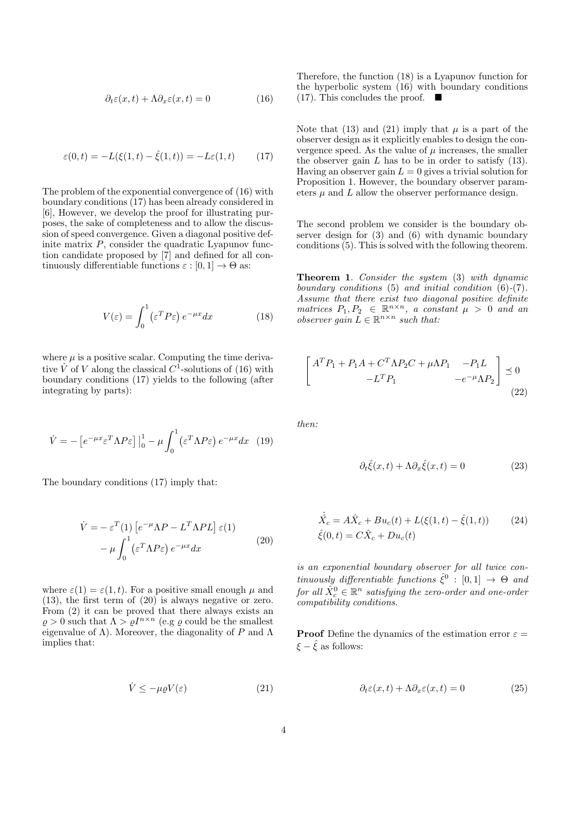$$
\partial_t \varepsilon(x, t) + \Lambda \partial_x \varepsilon(x, t) = 0 \tag{16}
$$

$$
\varepsilon(0, t) = -L(\xi(1, t) - \hat{\xi}(1, t)) = -L\varepsilon(1, t) \tag{17}
$$

The problem of the exponential convergence of (16) with boundary conditions (17) has been already considered in [6], However, we develop the proof for illustrating purposes, the sake of completeness and to allow the discussion of speed convergence. Given a diagonal positive definite matrix  $P$ , consider the quadratic Lyapunov function candidate proposed by [7] and defined for all continuously differentiable functions  $\varepsilon : [0, 1] \to \Theta$  as:

$$
V(\varepsilon) = \int_0^1 (\varepsilon^T P \varepsilon) e^{-\mu x} dx \tag{18}
$$

where  $\mu$  is a positive scalar. Computing the time derivative  $\dot{V}$  of V along the classical  $C^1$ -solutions of (16) with boundary conditions (17) yields to the following (after integrating by parts):

$$
\dot{V} = -\left[e^{-\mu x} \varepsilon^T \Lambda P \varepsilon\right] \Big|_0^1 - \mu \int_0^1 (\varepsilon^T \Lambda P \varepsilon) e^{-\mu x} dx \tag{19}
$$

The boundary conditions (17) imply that:

$$
\dot{V} = -\varepsilon^{T}(1) \left[ e^{-\mu} \Lambda P - L^{T} \Lambda P L \right] \varepsilon(1)
$$

$$
- \mu \int_{0}^{1} (\varepsilon^{T} \Lambda P \varepsilon) e^{-\mu x} dx \qquad (20)
$$

where  $\varepsilon(1) = \varepsilon(1, t)$ . For a positive small enough  $\mu$  and (13), the first term of (20) is always negative or zero. From (2) it can be proved that there always exists an  $\rho > 0$  such that  $\Lambda > \rho I^{n \times n}$  (e.g  $\rho$  could be the smallest eigenvalue of  $\Lambda$ ). Moreover, the diagonality of P and  $\Lambda$ implies that:

$$
\dot{V} \le -\mu \varrho V(\varepsilon) \tag{21}
$$

Therefore, the function (18) is a Lyapunov function for the hyperbolic system (16) with boundary conditions  $(17)$ . This concludes the proof.  $\blacksquare$ 

Note that (13) and (21) imply that  $\mu$  is a part of the observer design as it explicitly enables to design the convergence speed. As the value of  $\mu$  increases, the smaller the observer gain  $L$  has to be in order to satisfy  $(13)$ . Having an observer gain  $L = 0$  gives a trivial solution for Proposition 1. However, the boundary observer parameters  $\mu$  and  $\bar{L}$  allow the observer performance design.

The second problem we consider is the boundary observer design for (3) and (6) with dynamic boundary conditions (5). This is solved with the following theorem.

Theorem 1. Consider the system (3) with dynamic boundary conditions (5) and initial condition (6)-(7). Assume that there exist two diagonal positive definite matrices  $P_1, P_2 \in \mathbb{R}^{n \times n}$ , a constant  $\mu > 0$  and an observer gain  $\overline{L} \in \mathbb{R}^{n \times n}$  such that:

$$
\begin{bmatrix}\nA^T P_1 + P_1 A + C^T \Lambda P_2 C + \mu \Lambda P_1 & -P_1 L \\
-L^T P_1 & -e^{-\mu} \Lambda P_2\n\end{bmatrix} \preceq 0
$$
\n(22)

then:

$$
\partial_t \hat{\xi}(x,t) + \Lambda \partial_x \hat{\xi}(x,t) = 0 \tag{23}
$$

$$
\dot{\hat{X}_c} = A\hat{X}_c + Bu_c(t) + L(\xi(1, t) - \hat{\xi}(1, t))
$$
\n(24)\n
$$
\hat{\xi}(0, t) = C\hat{X}_c + Du_c(t)
$$

is an exponential boundary observer for all twice continuously differentiable functions  $\hat{\xi}^0$  :  $[0,1] \rightarrow \Theta$  and for all  $\hat{X}_{c}^{0} \in \mathbb{R}^{n}$  satisfying the zero-order and one-order compatibility conditions.

**Proof** Define the dynamics of the estimation error  $\varepsilon =$  $\xi - \xi$  as follows:

$$
\partial_t \varepsilon(x, t) + \Lambda \partial_x \varepsilon(x, t) = 0 \tag{25}
$$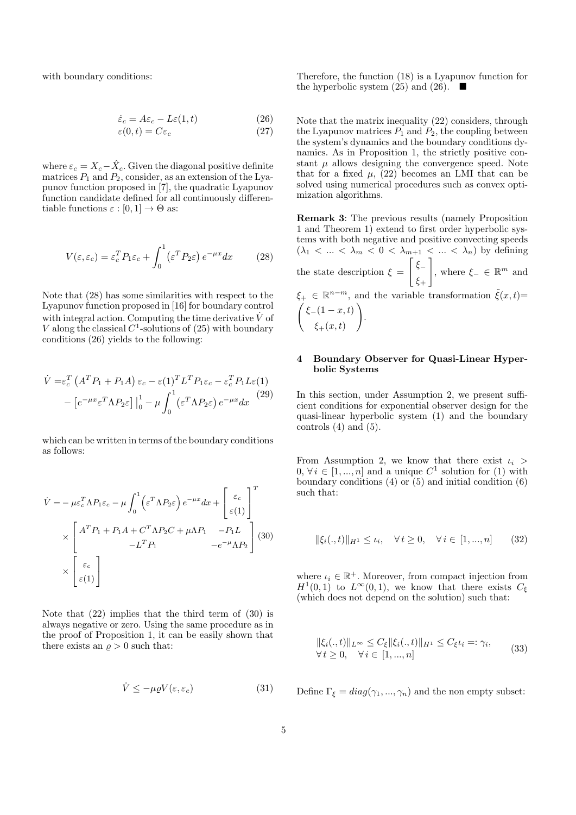with boundary conditions:

$$
\dot{\varepsilon}_c = A\varepsilon_c - L\varepsilon(1, t) \tag{26}
$$

$$
\varepsilon(0, t) = C\varepsilon_c \tag{27}
$$

where  $\varepsilon_c = X_c - \hat{X}_c$ . Given the diagonal positive definite matrices  $P_1$  and  $P_2$ , consider, as an extension of the Lyapunov function proposed in [7], the quadratic Lyapunov function candidate defined for all continuously differentiable functions  $\varepsilon : [0, 1] \to \Theta$  as:

$$
V(\varepsilon, \varepsilon_c) = \varepsilon_c^T P_1 \varepsilon_c + \int_0^1 (\varepsilon^T P_2 \varepsilon) e^{-\mu x} dx \qquad (28)
$$

Note that (28) has some similarities with respect to the Lyapunov function proposed in [16] for boundary control with integral action. Computing the time derivative  $\dot{V}$  of V along the classical  $C^1$ -solutions of  $(25)$  with boundary conditions (26) yields to the following:

$$
\dot{V} = \varepsilon_c^T \left( A^T P_1 + P_1 A \right) \varepsilon_c - \varepsilon (1)^T L^T P_1 \varepsilon_c - \varepsilon_c^T P_1 L \varepsilon (1)
$$

$$
- \left[ e^{-\mu x} \varepsilon^T \Lambda P_2 \varepsilon \right] \Big|_0^1 - \mu \int_0^1 (\varepsilon^T \Lambda P_2 \varepsilon) e^{-\mu x} dx \tag{29}
$$

which can be written in terms of the boundary conditions as follows:

$$
\dot{V} = -\mu \varepsilon_c^T \Lambda P_1 \varepsilon_c - \mu \int_0^1 \left( \varepsilon^T \Lambda P_2 \varepsilon \right) e^{-\mu x} dx + \begin{bmatrix} \varepsilon_c \\ \varepsilon(1) \end{bmatrix}^T
$$
\n
$$
\times \begin{bmatrix} A^T P_1 + P_1 A + C^T \Lambda P_2 C + \mu \Lambda P_1 & -P_1 L \\ -L^T P_1 & -e^{-\mu} \Lambda P_2 \end{bmatrix} (30)
$$
\n
$$
\times \begin{bmatrix} \varepsilon_c \\ \varepsilon(1) \end{bmatrix}
$$

Note that (22) implies that the third term of (30) is always negative or zero. Using the same procedure as in the proof of Proposition 1, it can be easily shown that there exists an  $\rho > 0$  such that:

$$
\dot{V} \le -\mu \varrho V(\varepsilon, \varepsilon_c) \tag{31}
$$

Therefore, the function (18) is a Lyapunov function for the hyperbolic system (25) and (26).  $\blacksquare$ 

Note that the matrix inequality (22) considers, through the Lyapunov matrices  $P_1$  and  $P_2$ , the coupling between the system's dynamics and the boundary conditions dynamics. As in Proposition 1, the strictly positive constant  $\mu$  allows designing the convergence speed. Note that for a fixed  $\mu$ , (22) becomes an LMI that can be solved using numerical procedures such as convex optimization algorithms.

Remark 3: The previous results (namely Proposition 1 and Theorem 1) extend to first order hyperbolic systems with both negative and positive convecting speeds  $(\lambda_1 < \ldots < \lambda_m < 0 < \lambda_{m+1} < \ldots < \lambda_n)$  by defining the state description  $\xi =$  $\lceil \xi_-\rceil$  $\xi_+$  $\Big]$ , where  $\xi$ <sub>−</sub> ∈ ℝ<sup>*m*</sup> and  $\xi_{+} \in \mathbb{R}^{n-m}$ , and the variable transformation  $\tilde{\xi}(x,t)$ =  $\int \xi_-(1-x,t)$  $\xi_+(x,t)$  $\setminus$ .

#### 4 Boundary Observer for Quasi-Linear Hyperbolic Systems

In this section, under Assumption 2, we present sufficient conditions for exponential observer design for the quasi-linear hyperbolic system (1) and the boundary controls  $(4)$  and  $(5)$ .

From Assumption 2, we know that there exist  $\iota_i$  $0, \forall i \in [1, ..., n]$  and a unique  $C^1$  solution for  $(1)$  with boundary conditions  $(4)$  or  $(5)$  and initial condition  $(6)$ such that:

$$
\|\xi_i(.,t)\|_{H^1} \le \iota_i, \quad \forall \, t \ge 0, \quad \forall \, i \in [1,...,n] \tag{32}
$$

where  $\iota_i \in \mathbb{R}^+$ . Moreover, from compact injection from  $H^1(0,1)$  to  $L^{\infty}(0,1)$ , we know that there exists  $C_{\xi}$ (which does not depend on the solution) such that:

$$
\|\xi_i(.,t)\|_{L^\infty} \le C_\xi \|\xi_i(.,t)\|_{H^1} \le C_\xi \iota_i =: \gamma_i,
$$
  
\n
$$
\forall t \ge 0, \quad \forall i \in [1,...,n]
$$
\n(33)

Define  $\Gamma_{\xi} = diag(\gamma_1, ..., \gamma_n)$  and the non empty subset: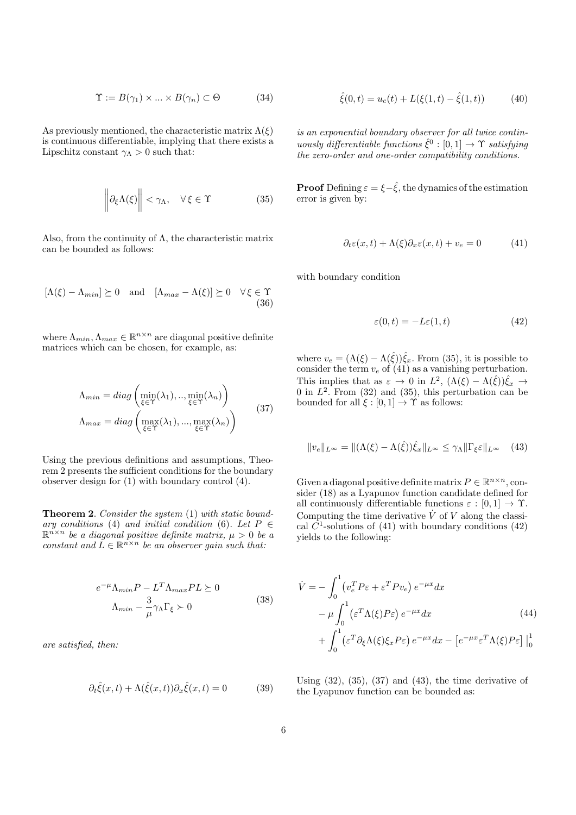$$
\Upsilon := B(\gamma_1) \times \dots \times B(\gamma_n) \subset \Theta \tag{34}
$$

As previously mentioned, the characteristic matrix  $\Lambda(\xi)$ is continuous differentiable, implying that there exists a Lipschitz constant  $\gamma_{\Lambda} > 0$  such that:

$$
\left\|\partial_{\xi}\Lambda(\xi)\right\| < \gamma_{\Lambda}, \quad \forall \xi \in \Upsilon \tag{35}
$$

Also, from the continuity of  $\Lambda$ , the characteristic matrix can be bounded as follows:

$$
[\Lambda(\xi) - \Lambda_{min}] \succeq 0 \quad \text{and} \quad [\Lambda_{max} - \Lambda(\xi)] \succeq 0 \quad \forall \xi \in \Upsilon
$$
\n(36)

where  $\Lambda_{min}, \Lambda_{max} \in \mathbb{R}^{n \times n}$  are diagonal positive definite matrices which can be chosen, for example, as:

$$
\Lambda_{min} = diag\left(\min_{\xi \in \Upsilon} (\lambda_1), ..., \min_{\xi \in \Upsilon} (\lambda_n)\right) \n\Lambda_{max} = diag\left(\max_{\xi \in \Upsilon} (\lambda_1), ..., \max_{\xi \in \Upsilon} (\lambda_n)\right)
$$
\n(37)

Using the previous definitions and assumptions, Theorem 2 presents the sufficient conditions for the boundary observer design for (1) with boundary control (4).

Theorem 2. Consider the system (1) with static boundary conditions (4) and initial condition (6). Let  $P \in$  $\mathbb{R}^{n \times n}$  be a diagonal positive definite matrix,  $\mu > 0$  be a constant and  $\tilde{L} \in \mathbb{R}^{n \times n}$  be an observer gain such that:

$$
e^{-\mu} \Lambda_{min} P - L^T \Lambda_{max} PL \succeq 0
$$
  

$$
\Lambda_{min} - \frac{3}{\mu} \gamma_{\Lambda} \Gamma_{\xi} \succ 0
$$
 (38)

are satisfied, then:

$$
\partial_t \hat{\xi}(x,t) + \Lambda(\hat{\xi}(x,t)) \partial_x \hat{\xi}(x,t) = 0 \tag{39}
$$

$$
\hat{\xi}(0,t) = u_c(t) + L(\xi(1,t) - \hat{\xi}(1,t))
$$
\n(40)

is an exponential boundary observer for all twice continuously differentiable functions  $\hat{\xi}^0 : [0,1] \to \Upsilon$  satisfying the zero-order and one-order compatibility conditions.

**Proof** Defining  $\varepsilon = \xi - \hat{\xi}$ , the dynamics of the estimation error is given by:

$$
\partial_t \varepsilon(x,t) + \Lambda(\xi)\partial_x \varepsilon(x,t) + v_e = 0 \tag{41}
$$

with boundary condition

$$
\varepsilon(0, t) = -L\varepsilon(1, t) \tag{42}
$$

where  $v_e = (\Lambda(\xi) - \Lambda(\hat{\xi}))\hat{\xi}_x$ . From (35), it is possible to consider the term  $v_e$  of (41) as a vanishing perturbation. This implies that as  $\varepsilon \to 0$  in  $L^2$ ,  $(\Lambda(\xi) - \Lambda(\hat{\xi}))\hat{\xi}_x \to$ 0 in  $L^2$ . From (32) and (35), this perturbation can be bounded for all  $\xi : [0, 1] \to \Upsilon$  as follows:

$$
||v_e||_{L^{\infty}} = ||(\Lambda(\xi) - \Lambda(\hat{\xi}))\hat{\xi}_x||_{L^{\infty}} \le \gamma_\Lambda ||\Gamma_{\xi}\varepsilon||_{L^{\infty}} \quad (43)
$$

Given a diagonal positive definite matrix  $P \in \mathbb{R}^{n \times n}$ , consider (18) as a Lyapunov function candidate defined for all continuously differentiable functions  $\varepsilon : [0, 1] \to \Upsilon$ . Computing the time derivative  $\dot{V}$  of V along the classical  $\overline{C}^1$ -solutions of (41) with boundary conditions (42) yields to the following:

$$
\dot{V} = -\int_0^1 \left( v_e^T P \varepsilon + \varepsilon^T P v_e \right) e^{-\mu x} dx \n- \mu \int_0^1 \left( \varepsilon^T \Lambda(\xi) P \varepsilon \right) e^{-\mu x} dx \qquad (44) \n+ \int_0^1 \left( \varepsilon^T \partial_{\xi} \Lambda(\xi) \xi_x P \varepsilon \right) e^{-\mu x} dx - \left[ e^{-\mu x} \varepsilon^T \Lambda(\xi) P \varepsilon \right] \Big|_0^1
$$

Using  $(32)$ ,  $(35)$ ,  $(37)$  and  $(43)$ , the time derivative of the Lyapunov function can be bounded as: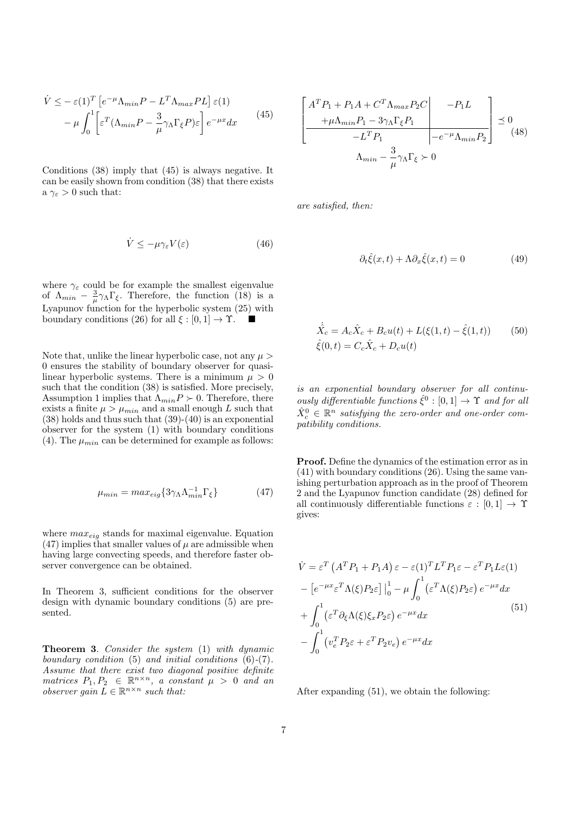$$
\dot{V} \leq -\varepsilon(1)^{T} \left[ e^{-\mu} \Lambda_{min} P - L^{T} \Lambda_{max} PL \right] \varepsilon(1)
$$

$$
- \mu \int_{0}^{1} \left[ \varepsilon^{T} (\Lambda_{min} P - \frac{3}{\mu} \gamma_{\Lambda} \Gamma_{\xi} P) \varepsilon \right] e^{-\mu x} dx \qquad (45)
$$

Conditions (38) imply that (45) is always negative. It can be easily shown from condition (38) that there exists a  $\gamma_{\varepsilon} > 0$  such that:

$$
\dot{V} \le -\mu \gamma_{\varepsilon} V(\varepsilon) \tag{46}
$$

where  $\gamma_{\varepsilon}$  could be for example the smallest eigenvalue of  $\Lambda_{min} - \frac{3}{\mu} \gamma_{\Lambda} \Gamma_{\xi}$ . Therefore, the function (18) is a Lyapunov function for the hyperbolic system  $(25)$  with boundary conditions (26) for all  $\xi : [0, 1] \rightarrow \Upsilon$ .

Note that, unlike the linear hyperbolic case, not any  $\mu >$ 0 ensures the stability of boundary observer for quasilinear hyperbolic systems. There is a minimum  $\mu > 0$ such that the condition (38) is satisfied. More precisely, Assumption 1 implies that  $\Lambda_{min} P \succ 0$ . Therefore, there exists a finite  $\mu > \mu_{min}$  and a small enough L such that (38) holds and thus such that (39)-(40) is an exponential observer for the system (1) with boundary conditions (4). The  $\mu_{min}$  can be determined for example as follows:

$$
\mu_{min} = max_{eig} \{ 3\gamma_{\Lambda} \Lambda_{min}^{-1} \Gamma_{\xi} \}
$$
 (47)

where  $max_{eig}$  stands for maximal eigenvalue. Equation  $(47)$  implies that smaller values of  $\mu$  are admissible when having large convecting speeds, and therefore faster observer convergence can be obtained.

In Theorem 3, sufficient conditions for the observer design with dynamic boundary conditions (5) are presented.

Theorem 3. Consider the system (1) with dynamic boundary condition (5) and initial conditions (6)-(7). Assume that there exist two diagonal positive definite matrices  $P_1, P_2 \in \mathbb{R}^{n \times n}$ , a constant  $\mu > 0$  and an observer gain  $\overline{L} \in \mathbb{R}^{n \times n}$  such that:

$$
\left[\begin{array}{c}\nA^T P_1 + P_1 A + C^T \Lambda_{max} P_2 C & -P_1 L \\
+\mu \Lambda_{min} P_1 - 3 \gamma_\Lambda \Gamma_\xi P_1 \\
-L^T P_1 & -e^{-\mu} \Lambda_{min} P_2\n\end{array}\right] \preceq 0
$$
\n
$$
\Lambda_{min} - \frac{3}{\mu} \gamma_\Lambda \Gamma_\xi \succ 0
$$
\n(48)

are satisfied, then:

$$
\partial_t \hat{\xi}(x,t) + \Lambda \partial_x \hat{\xi}(x,t) = 0 \tag{49}
$$

$$
\dot{\hat{X}_c} = A_c \hat{X}_c + B_c u(t) + L(\xi(1, t) - \hat{\xi}(1, t))
$$
\n(50)  
\n
$$
\hat{\xi}(0, t) = C_c \hat{X}_c + D_c u(t)
$$

is an exponential boundary observer for all continuously differentiable functions  $\hat{\xi}^0 : [0,1] \to \Upsilon$  and for all  $\hat{X}_{c}^{0} \in \mathbb{R}^{n}$  satisfying the zero-order and one-order compatibility conditions.

Proof. Define the dynamics of the estimation error as in (41) with boundary conditions (26). Using the same vanishing perturbation approach as in the proof of Theorem 2 and the Lyapunov function candidate (28) defined for all continuously differentiable functions  $\varepsilon : [0,1] \to \Upsilon$ gives:

$$
\dot{V} = \varepsilon^T \left( A^T P_1 + P_1 A \right) \varepsilon - \varepsilon (1)^T L^T P_1 \varepsilon - \varepsilon^T P_1 L \varepsilon (1)
$$

$$
- \left[ e^{-\mu x} \varepsilon^T \Lambda (\xi) P_2 \varepsilon \right] \Big|_0^1 - \mu \int_0^1 (\varepsilon^T \Lambda (\xi) P_2 \varepsilon) e^{-\mu x} dx
$$

$$
+ \int_0^1 (\varepsilon^T \partial_\xi \Lambda (\xi) \xi_x P_2 \varepsilon) e^{-\mu x} dx \tag{51}
$$

$$
- \int_0^1 (v_e^T P_2 \varepsilon + \varepsilon^T P_2 v_e) e^{-\mu x} dx
$$

After expanding (51), we obtain the following: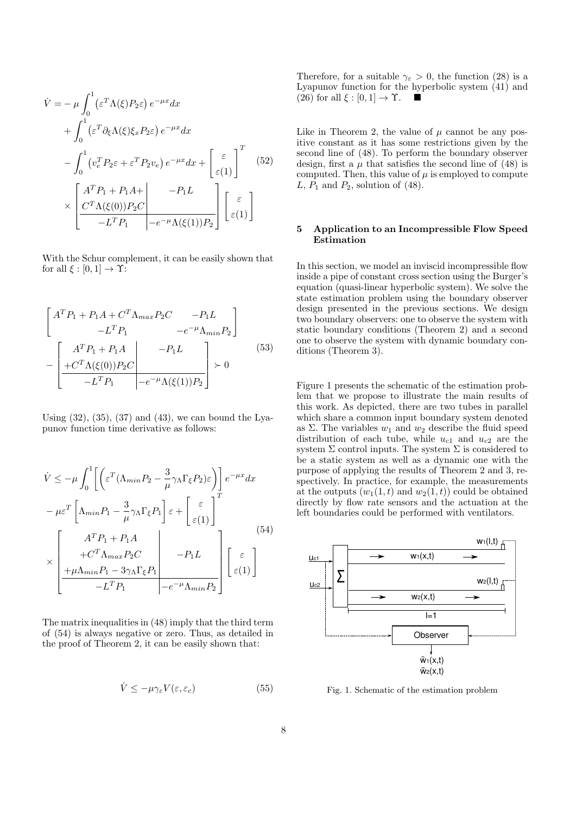$$
\dot{V} = -\mu \int_0^1 (\varepsilon^T \Lambda(\xi) P_2 \varepsilon) e^{-\mu x} dx \n+ \int_0^1 (\varepsilon^T \partial_{\xi} \Lambda(\xi) \xi_x P_2 \varepsilon) e^{-\mu x} dx \n- \int_0^1 (v_e^T P_2 \varepsilon + \varepsilon^T P_2 v_e) e^{-\mu x} dx + \begin{bmatrix} \varepsilon \\ \varepsilon(1) \end{bmatrix}^T \n\times \begin{bmatrix} A^T P_1 + P_1 A + & -P_1 L \\ C^T \Lambda(\xi(0)) P_2 C & -L^T P_1 & -e^{-\mu} \Lambda(\xi(1)) P_2 \end{bmatrix} \begin{bmatrix} \varepsilon \\ \varepsilon(1) \end{bmatrix}
$$

With the Schur complement, it can be easily shown that for all  $\xi : [0, 1] \rightarrow \Upsilon$ :

$$
\begin{bmatrix}\nA^T P_1 + P_1 A + C^T \Lambda_{max} P_2 C & -P_1 L \\
-L^T P_1 & -e^{-\mu} \Lambda_{min} P_2\n\end{bmatrix}
$$
\n
$$
-\begin{bmatrix}\nA^T P_1 + P_1 A & -P_1 L \\
+C^T \Lambda(\xi(0)) P_2 C & & & \\
-L^T P_1 & -e^{-\mu} \Lambda(\xi(1)) P_2\n\end{bmatrix} \succ 0
$$
\n(53)

Using  $(32)$ ,  $(35)$ ,  $(37)$  and  $(43)$ , we can bound the Lyapunov function time derivative as follows:

$$
\dot{V} \leq -\mu \int_0^1 \left[ \left( \varepsilon^T (\Lambda_{min} P_2 - \frac{3}{\mu} \gamma_\Lambda \Gamma_\xi P_2) \varepsilon \right) \right] e^{-\mu x} dx
$$

$$
-\mu \varepsilon^T \left[ \Lambda_{min} P_1 - \frac{3}{\mu} \gamma_\Lambda \Gamma_\xi P_1 \right] \varepsilon + \left[ \varepsilon \atop \varepsilon(1) \right]^T
$$

$$
\times \left[ \frac{A^T P_1 + P_1 A}{+ C^T \Lambda_{max} P_2 C} - P_1 L \right] \left[ \varepsilon \atop -L^T P_1 - \frac{3}{\mu} \gamma_\Lambda \Gamma_\xi P_1 \right] \left[ \varepsilon \atop -C^T \Lambda_{min} P_2 \right] \left[ \varepsilon(1) \right]
$$

$$
(54)
$$

The matrix inequalities in (48) imply that the third term of (54) is always negative or zero. Thus, as detailed in the proof of Theorem 2, it can be easily shown that:

$$
\dot{V} \le -\mu \gamma_{\varepsilon} V(\varepsilon, \varepsilon_c) \tag{55}
$$

Therefore, for a suitable  $\gamma_{\varepsilon} > 0$ , the function (28) is a Lyapunov function for the hyperbolic system (41) and  $(26)$  for all  $\xi : [0, 1] \rightarrow \Upsilon$ .

Like in Theorem 2, the value of  $\mu$  cannot be any positive constant as it has some restrictions given by the second line of (48). To perform the boundary observer design, first a  $\mu$  that satisfies the second line of (48) is computed. Then, this value of  $\mu$  is employed to compute L,  $P_1$  and  $P_2$ , solution of (48).

## 5 Application to an Incompressible Flow Speed Estimation

In this section, we model an inviscid incompressible flow inside a pipe of constant cross section using the Burger's equation (quasi-linear hyperbolic system). We solve the state estimation problem using the boundary observer design presented in the previous sections. We design two boundary observers: one to observe the system with static boundary conditions (Theorem 2) and a second one to observe the system with dynamic boundary conditions (Theorem 3).

Figure 1 presents the schematic of the estimation problem that we propose to illustrate the main results of this work. As depicted, there are two tubes in parallel which share a common input boundary system denoted as  $\Sigma$ . The variables  $w_1$  and  $w_2$  describe the fluid speed distribution of each tube, while  $u_{c1}$  and  $u_{c2}$  are the system  $\Sigma$  control inputs. The system  $\Sigma$  is considered to be a static system as well as a dynamic one with the purpose of applying the results of Theorem 2 and 3, respectively. In practice, for example, the measurements at the outputs  $(w_1(1,t)$  and  $w_2(1,t))$  could be obtained directly by flow rate sensors and the actuation at the left boundaries could be performed with ventilators.



Fig. 1. Schematic of the estimation problem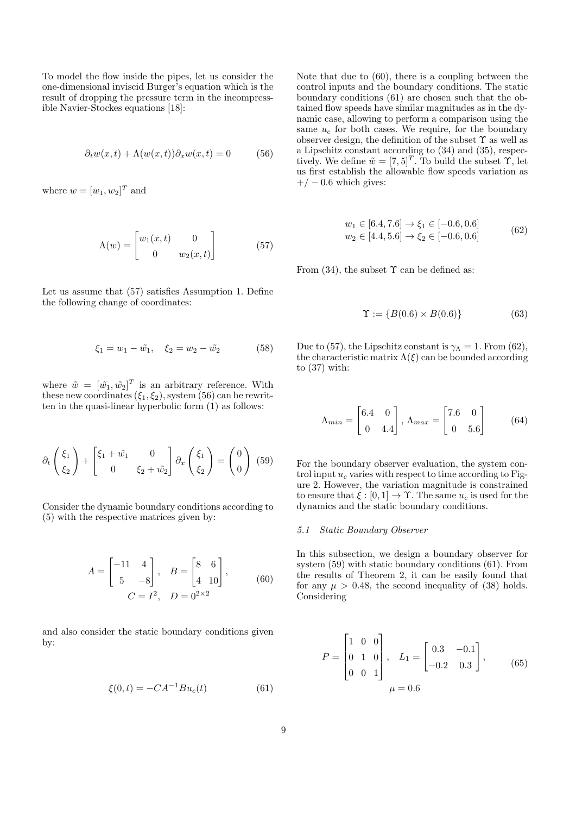To model the flow inside the pipes, let us consider the one-dimensional inviscid Burger's equation which is the result of dropping the pressure term in the incompressible Navier-Stockes equations [18]:

$$
\partial_t w(x,t) + \Lambda(w(x,t))\partial_x w(x,t) = 0 \tag{56}
$$

where  $w = [w_1, w_2]^T$  and

$$
\Lambda(w) = \begin{bmatrix} w_1(x,t) & 0\\ 0 & w_2(x,t) \end{bmatrix}
$$
 (57)

Let us assume that (57) satisfies Assumption 1. Define the following change of coordinates:

$$
\xi_1 = w_1 - \tilde{w_1}, \quad \xi_2 = w_2 - \tilde{w_2} \tag{58}
$$

where  $\tilde{w} = [\tilde{w_1}, \tilde{w_2}]^T$  is an arbitrary reference. With these new coordinates  $(\xi_1, \xi_2)$ , system (56) can be rewritten in the quasi-linear hyperbolic form (1) as follows:

$$
\partial_t \begin{pmatrix} \xi_1 \\ \xi_2 \end{pmatrix} + \begin{bmatrix} \xi_1 + \tilde{w_1} & 0 \\ 0 & \xi_2 + \tilde{w_2} \end{bmatrix} \partial_x \begin{pmatrix} \xi_1 \\ \xi_2 \end{pmatrix} = \begin{pmatrix} 0 \\ 0 \end{pmatrix} (59)
$$

Consider the dynamic boundary conditions according to (5) with the respective matrices given by:

$$
A = \begin{bmatrix} -11 & 4 \\ 5 & -8 \end{bmatrix}, \quad B = \begin{bmatrix} 8 & 6 \\ 4 & 10 \end{bmatrix}, \quad (60)
$$

$$
C = I^2, \quad D = 0^{2 \times 2}
$$

and also consider the static boundary conditions given by:

$$
\xi(0,t) = -CA^{-1}Bu_c(t)
$$
\n(61)

Note that due to (60), there is a coupling between the control inputs and the boundary conditions. The static boundary conditions (61) are chosen such that the obtained flow speeds have similar magnitudes as in the dynamic case, allowing to perform a comparison using the same  $u_c$  for both cases. We require, for the boundary observer design, the definition of the subset  $\Upsilon$  as well as a Lipschitz constant according to (34) and (35), respectively. We define  $\tilde{w} = [7, 5]^T$ . To build the subset  $\Upsilon$ , let us first establish the allowable flow speeds variation as  $+/- 0.6$  which gives:

$$
w_1 \in [6.4, 7.6] \to \xi_1 \in [-0.6, 0.6]
$$
  

$$
w_2 \in [4.4, 5.6] \to \xi_2 \in [-0.6, 0.6]
$$
 (62)

From  $(34)$ , the subset  $\Upsilon$  can be defined as:

$$
\Upsilon := \{ B(0.6) \times B(0.6) \}
$$
 (63)

Due to (57), the Lipschitz constant is  $\gamma_{\Lambda} = 1$ . From (62), the characteristic matrix  $\Lambda(\xi)$  can be bounded according to (37) with:

$$
\Lambda_{min} = \begin{bmatrix} 6.4 & 0 \\ 0 & 4.4 \end{bmatrix}, \Lambda_{max} = \begin{bmatrix} 7.6 & 0 \\ 0 & 5.6 \end{bmatrix}
$$
 (64)

For the boundary observer evaluation, the system control input  $u_c$  varies with respect to time according to Figure 2. However, the variation magnitude is constrained to ensure that  $\xi : [0, 1] \to \Upsilon$ . The same  $u_c$  is used for the dynamics and the static boundary conditions.

#### 5.1 Static Boundary Observer

In this subsection, we design a boundary observer for system (59) with static boundary conditions (61). From the results of Theorem 2, it can be easily found that for any  $\mu > 0.48$ , the second inequality of (38) holds. Considering

$$
P = \begin{bmatrix} 1 & 0 & 0 \\ 0 & 1 & 0 \\ 0 & 0 & 1 \end{bmatrix}, \quad L_1 = \begin{bmatrix} 0.3 & -0.1 \\ -0.2 & 0.3 \end{bmatrix}, \tag{65}
$$

$$
\mu = 0.6
$$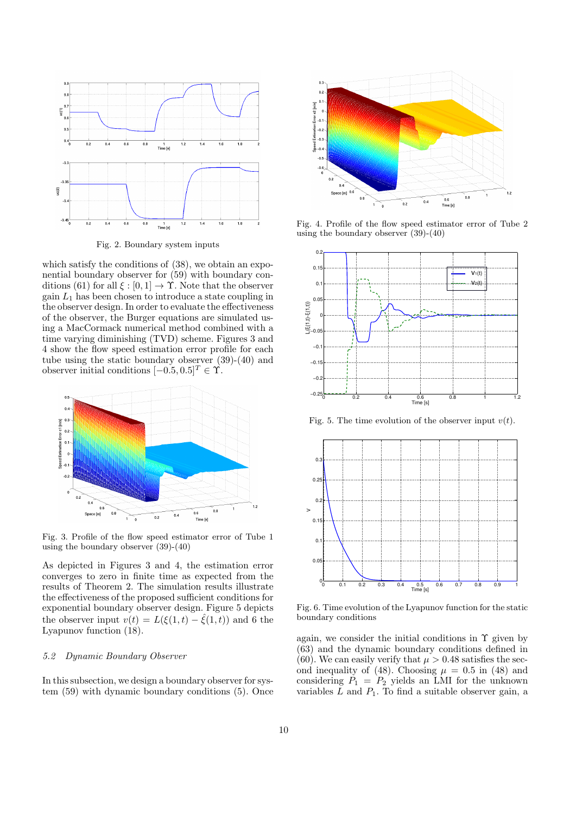

Fig. 2. Boundary system inputs

which satisfy the conditions of (38), we obtain an exponential boundary observer for (59) with boundary conditions (61) for all  $\xi : [0,1] \to \Upsilon$ . Note that the observer gain  $L_1$  has been chosen to introduce a state coupling in the observer design. In order to evaluate the effectiveness of the observer, the Burger equations are simulated using a MacCormack numerical method combined with a time varying diminishing (TVD) scheme. Figures 3 and 4 show the flow speed estimation error profile for each tube using the static boundary observer (39)-(40) and observer initial conditions  $[-0.5, 0.5]^T \in \Upsilon$ .



Fig. 3. Profile of the flow speed estimator error of Tube 1 using the boundary observer (39)-(40)

As depicted in Figures 3 and 4, the estimation error converges to zero in finite time as expected from the results of Theorem 2. The simulation results illustrate the effectiveness of the proposed sufficient conditions for exponential boundary observer design. Figure 5 depicts the observer input  $v(t) = L(\xi(1,t) - \hat{\xi}(1,t))$  and 6 the Lyapunov function (18).

#### 5.2 Dynamic Boundary Observer

In this subsection, we design a boundary observer for system (59) with dynamic boundary conditions (5). Once



Fig. 4. Profile of the flow speed estimator error of Tube 2 using the boundary observer (39)-(40)



Fig. 5. The time evolution of the observer input  $v(t)$ .



Fig. 6. Time evolution of the Lyapunov function for the static boundary conditions

again, we consider the initial conditions in  $\Upsilon$  given by (63) and the dynamic boundary conditions defined in (60). We can easily verify that  $\mu > 0.48$  satisfies the second inequality of (48). Choosing  $\mu = 0.5$  in (48) and considering  $P_1 = P_2$  yields an LMI for the unknown variables  $L$  and  $P_1$ . To find a suitable observer gain, a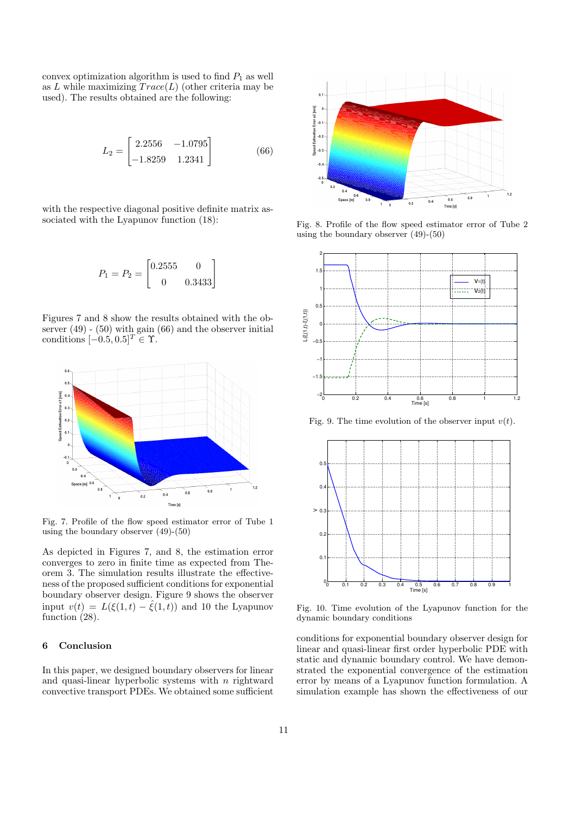convex optimization algorithm is used to find  $P_1$  as well as L while maximizing  $Trace(L)$  (other criteria may be used). The results obtained are the following:

$$
L_2 = \begin{bmatrix} 2.2556 & -1.0795 \\ -1.8259 & 1.2341 \end{bmatrix}
$$
 (66)

with the respective diagonal positive definite matrix associated with the Lyapunov function (18):

$$
P_1 = P_2 = \begin{bmatrix} 0.2555 & 0\\ 0 & 0.3433 \end{bmatrix}
$$

Figures 7 and 8 show the results obtained with the observer (49) - (50) with gain (66) and the observer initial conditions  $[-0.5, 0.5]^T \in \Upsilon$ .



Fig. 7. Profile of the flow speed estimator error of Tube 1 using the boundary observer (49)-(50)

As depicted in Figures 7, and 8, the estimation error converges to zero in finite time as expected from Theorem 3. The simulation results illustrate the effectiveness of the proposed sufficient conditions for exponential boundary observer design. Figure 9 shows the observer input  $v(t) = L(\xi(1,t) - \hat{\xi}(1,t))$  and 10 the Lyapunov function  $(28)$ .

# 6 Conclusion

In this paper, we designed boundary observers for linear and quasi-linear hyperbolic systems with  $n$  rightward convective transport PDEs. We obtained some sufficient



Fig. 8. Profile of the flow speed estimator error of Tube 2 using the boundary observer (49)-(50)



Fig. 9. The time evolution of the observer input  $v(t)$ .



Fig. 10. Time evolution of the Lyapunov function for the dynamic boundary conditions

conditions for exponential boundary observer design for linear and quasi-linear first order hyperbolic PDE with static and dynamic boundary control. We have demonstrated the exponential convergence of the estimation error by means of a Lyapunov function formulation. A simulation example has shown the effectiveness of our